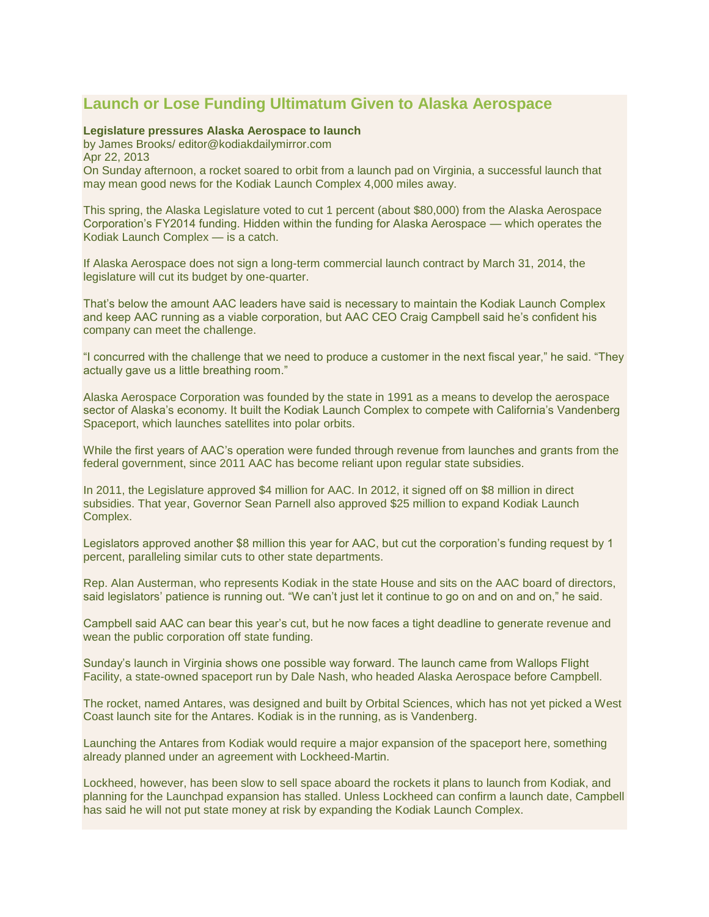## **[Launch or Lose Funding Ultimatum Given to Alaska Aerospace](http://kodiaklaunchcomplex.blogspot.com/2013/04/launch-or-lose-funding-ultimatum-given.html)**

## **Legislature pressures Alaska Aerospace to launch**

by James Brooks/ editor@kodiakdailymirror.com Apr 22, 2013 On Sunday afternoon, a rocket soared to orbit from a launch pad on Virginia, a successful launch that may mean good news for the Kodiak Launch Complex 4,000 miles away.

This spring, the Alaska Legislature voted to cut 1 percent (about \$80,000) from the Alaska Aerospace Corporation's FY2014 funding. Hidden within the funding for Alaska Aerospace — which operates the Kodiak Launch Complex — is a catch.

If Alaska Aerospace does not sign a long-term commercial launch contract by March 31, 2014, the legislature will cut its budget by one-quarter.

That's below the amount AAC leaders have said is necessary to maintain the Kodiak Launch Complex and keep AAC running as a viable corporation, but AAC CEO Craig Campbell said he's confident his company can meet the challenge.

"I concurred with the challenge that we need to produce a customer in the next fiscal year," he said. "They actually gave us a little breathing room."

Alaska Aerospace Corporation was founded by the state in 1991 as a means to develop the aerospace sector of Alaska's economy. It built the Kodiak Launch Complex to compete with California's Vandenberg Spaceport, which launches satellites into polar orbits.

While the first years of AAC's operation were funded through revenue from launches and grants from the federal government, since 2011 AAC has become reliant upon regular state subsidies.

In 2011, the Legislature approved \$4 million for AAC. In 2012, it signed off on \$8 million in direct subsidies. That year, Governor Sean Parnell also approved \$25 million to expand Kodiak Launch Complex.

Legislators approved another \$8 million this year for AAC, but cut the corporation's funding request by 1 percent, paralleling similar cuts to other state departments.

Rep. Alan Austerman, who represents Kodiak in the state House and sits on the AAC board of directors, said legislators' patience is running out. "We can't just let it continue to go on and on and on," he said.

Campbell said AAC can bear this year's cut, but he now faces a tight deadline to generate revenue and wean the public corporation off state funding.

Sunday's launch in Virginia shows one possible way forward. The launch came from Wallops Flight Facility, a state-owned spaceport run by Dale Nash, who headed Alaska Aerospace before Campbell.

The rocket, named Antares, was designed and built by Orbital Sciences, which has not yet picked a West Coast launch site for the Antares. Kodiak is in the running, as is Vandenberg.

Launching the Antares from Kodiak would require a major expansion of the spaceport here, something already planned under an agreement with Lockheed-Martin.

Lockheed, however, has been slow to sell space aboard the rockets it plans to launch from Kodiak, and planning for the Launchpad expansion has stalled. Unless Lockheed can confirm a launch date, Campbell has said he will not put state money at risk by expanding the Kodiak Launch Complex.